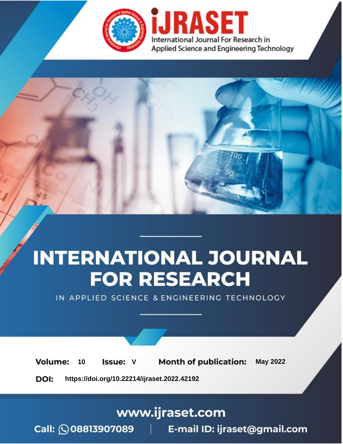

# **INTERNATIONAL JOURNAL FOR RESEARCH**

IN APPLIED SCIENCE & ENGINEERING TECHNOLOGY

Volume: **Month of publication: May 2022** 10 **Issue: V** 

DOI: https://doi.org/10.22214/ijraset.2022.42192

www.ijraset.com

 $Call: \bigcirc$ 08813907089 E-mail ID: ijraset@gmail.com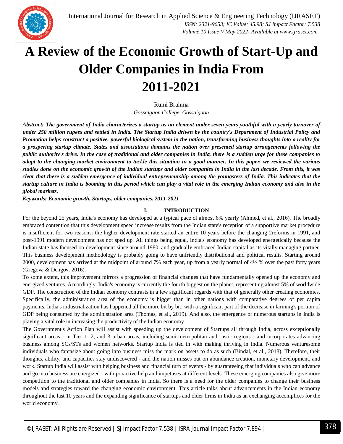

### **A Review of the Economic Growth of Start-Up and Older Companies in India From 2011-2021**

Rumi Brahma

*Gossaigaon College, Gossaigaon*

*Abstract: The government of India characterizes a startup as an element under seven years youthful with a yearly turnover of under 250 million rupees and settled in India. The Startup India driven by the country's Department of Industrial Policy and Promotion helps construct a positive, powerful biological system in the nation, transforming business thoughts into a reality for a prospering startup climate. States and associations domains the nation over presented startup arrangements following the public authority's drive. In the case of traditional and older companies in India, there is a sudden urge for these companies to adapt to the changing market environment to tackle this situation in a good manner. In this paper, we reviewed the various studies done on the economic growth of the Indian startups and older companies in India in the last decade. From this, it was clear that there is a sudden emergence of individual entrepreneurship among the youngsters of India. This indicates that the startup culture in India is booming in this period which can play a vital role in the emerging Indian economy and also in the global markets.* 

*Keywords: Economic growth, Startups, older companies. 2011-2021*

#### **I. INTRODUCTION**

For the beyond 25 years, India's economy has developed at a typical pace of almost 6% yearly (Ahmed, et al., 2016). The broadly embraced contention that this development speed increase results from the Indian state's reception of a supportive market procedure is insufficient for two reasons: the higher development rate started an entire 10 years before the changing 2reforms in 1991, and post-1991 modern development has not sped up. All things being equal, India's economy has developed energetically because the Indian state has focused on development since around 1980, and gradually embraced Indian capital as its vitally managing partner. This business development methodology is probably going to have unfriendly distributional and political results. Starting around 2000, development has arrived at the midpoint of around 7% each year, up from a yearly normal of 4½ % over the past forty years (Gregova & Dengov. 2016).

To some extent, this improvement mirrors a progression of financial changes that have fundamentally opened up the economy and energized ventures. Accordingly, India's economy is currently the fourth biggest on the planet, representing almost 5% of worldwide GDP. The construction of the Indian economy contrasts in a few significant regards with that of generally other creating economies. Specifically, the administration area of the economy is bigger than in other nations with comparative degrees of per capita payments. India's industrialization has happened all the more bit by bit, with a significant part of the decrease in farming's portion of GDP being consumed by the administration area (Thomas, et al., 2019). And also, the emergence of numerous startups in India is playing a vital role in increasing the productivity of the Indian economy.

The Government's Action Plan will assist with speeding up the development of Startups all through India, across exceptionally significant areas - in Tier 1, 2, and 3 urban areas, including semi-metropolitan and rustic regions - and incorporates advancing business among SCs/STs and women networks. Startup India is tied in with making thriving in India. Numerous venturesome individuals who fantasize about going into business miss the mark on assets to do as such (Bindal, et al., 2018). Therefore, their thoughts, ability, and capacities stay undiscovered - and the nation misses out on abundance creation, monetary development, and work. Startup India will assist with helping business and financial turn of events - by guaranteeing that individuals who can advance and go into business are energized - with proactive help and impetuses at different levels. These emerging companies also give more competition to the traditional and older companies in India. So there is a need for the older companies to change their business models and strategies toward the changing economic environment. This article talks about advancements in the Indian economy throughout the last 10 years and the expanding significance of startups and older firms in India as an exchanging accomplices for the world economy.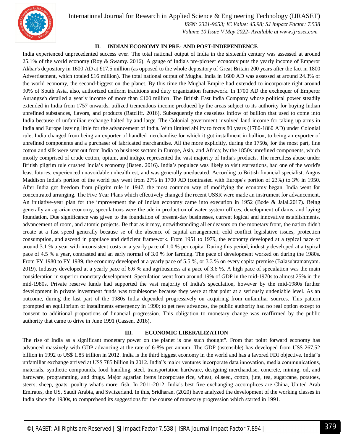

 *ISSN: 2321-9653; IC Value: 45.98; SJ Impact Factor: 7.538 Volume 10 Issue V May 2022- Available at www.ijraset.com*

#### **II. INDIAN ECONOMY IN PRE- AND POST-INDEPENDENCE**

India experienced unprecedented success ever. The total national output of India in the sixteenth century was assessed at around 25.1% of the world economy (Roy & Swamy. 2016). A gauge of India's pre-pioneer economy puts the yearly income of Emperor Akbar's depository in 1600 AD at £17.5 million (as opposed to the whole depository of Great Britain 200 years after the fact in 1800 Advertisement, which totaled £16 million). The total national output of Mughal India in 1600 AD was assessed at around 24.3% of the world economy, the second-biggest on the planet. By this time the Mughal Empire had extended to incorporate right around 90% of South Asia, also, authorized uniform traditions and duty organization framework. In 1700 AD the exchequer of Emperor Aurangzeb detailed a yearly income of more than £100 million. The British East India Company whose political power steadily extended in India from 1757 onwards, utilized tremendous income produced by the areas subject to its authority for buying Indian unrefined substances, flavors, and products (Ratcliff. 2016). Subsequently the ceaseless inflow of bullion that used to come into India because of unfamiliar exchange halted by and large. The Colonial government involved land income for taking up arms in India and Europe leaving little for the advancement of India. With limited ability to focus 80 years (1780-1860 AD) under Colonial rule, India changed from being an exporter of handled merchandise for which it got installment in bullion, to being an exporter of unrefined components and a purchaser of fabricated merchandise. All the more explicitly, during the 1750s, for the most part, fine cotton and silk were sent out from India to business sectors in Europe, Asia, and Africa; by the 1850s unrefined components, which mostly comprised of crude cotton, opium, and indigo, represented the vast majority of India's products. The merciless abuse under British pilgrim rule crushed India's economy (Baten. 2016). India's populace was likely to visit starvations, had one of the world's least futures, experienced unavoidable unhealthiest, and was generally uneducated. According to British financial specialist, Angus Maddison India's portion of the world pay went from 27% in 1700 AD (contrasted with Europe's portion of 23%) to 3% in 1950. After India got freedom from pilgrim rule in 1947, the most common way of modifying the economy began. India went for concentrated arranging. The Five Year Plans which effectively changed the recent USSR were made an instrument for advancement. An initiative-year plan for the improvement the of Indian economy came into execution in 1952 (Bode & Jalal.2017). Being generally an agrarian economy, speculations were the ade in production of water system offices, development of dams, and laying foundation. Due significance was given to the foundation of present-day businesses, current logical and innovative establishments, advancement of room, and atomic projects. Be that as it may, notwithstanding all endeavors on the monetary front, the nation didn't create at a fast speed generally because se of the absence of capital arrangement, cold conflict legislative issues, protection consumption, and ascend in populace and deficient framework. From 1951 to 1979, the economy developed at a typical pace of around 3.1 % a year with inconsistent costs or a yearly pace of 1.0 % per capita. During this period, industry developed at a typical pace of 4.5 % a year, contrasted and an early normal of 3.0 % for farming. The pace of development worked on during the 1980s. From FY 1980 to FY 1989, the economy developed at a yearly pace of 5.5 %, or 3.3 % on every capita premise (Balasubramanyam. 2019). Industry developed at a yearly pace of 6.6 % and agribusiness at a pace of 3.6 %. A high pace of speculation was the main consideration in superior monetary development. Speculation went from around 19% of GDP in the mid-1970s to almost 25% in the mid-1980s. Private reserve funds had supported the vast majority of India's speculation, however by the mid-1980s further development in private investment funds was troublesome because they were at that point at a seriously undeniable level. As an outcome, during the last part of the 1980s India depended progressively on acquiring from unfamiliar sources. This pattern prompted an equilibrium of installments emergency in 1990; to get new advances, the public authority had no real option except to consent to additional proportions of financial progression. This obligation to monetary change was reaffirmed by the public authority that came to drive in June 1991 (Cassen. 2016).

#### **III. ECONOMIC LIBERALIZATION**

The rise of India as a significant monetary power on the planet is one such thought". From that point forward economy has advanced massively with GDP advancing at the rate of 6-8% per annum. The GDP (ostensible) has developed from US\$ 267.52 billion in 1992 to US\$ 1.85 trillion in 2012. India is the third biggest economy in the world and has a favored FDI objective. India"s unfamiliar exchange arrived at US\$ 785 billion in 2012. India"s major ventures incorporate data innovation, media communications, materials, synthetic compounds, food handling, steel, transportation hardware, designing merchandise, concrete, mining, oil, and hardware, programming, and drugs. Major agrarian items incorporate rice, wheat, oilseed, cotton, jute, tea, sugarcane, potatoes, steers, sheep, goats, poultry what's more, fish. In 2011-2012, India's best five exchanging accomplices are China, United Arab Emirates, the US, Saudi Arabia, and Switzerland. In this, Sridharan. (2020) have analyzed the development of the working classes in India since the 1980s, to comprehend its suggestions for the course of monetary progression which started in 1991.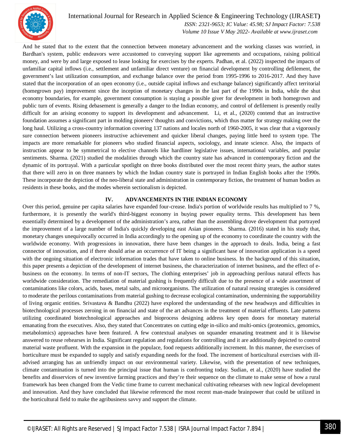

 *ISSN: 2321-9653; IC Value: 45.98; SJ Impact Factor: 7.538 Volume 10 Issue V May 2022- Available at www.ijraset.com*

And he stated that to the extent that the connection between monetary advancement and the working classes was worried, in Bardhan's system, public endeavors were accustomed to conveying support like agreements and occupations, raising political money, and were by and large exposed to lease looking for exercises by the experts. Padhan, et al. (2022) inspected the impacts of unfamiliar capital inflows (i.e., settlement and unfamiliar direct venture) on financial development by controlling defilement, the government's last utilization consumption, and exchange balance over the period from 1995-1996 to 2016-2017. And they have stated that the incorporation of an open economy (i.e., outside capital inflows and exchange balance) significantly affect territorial (homegrown pay) improvement since the inception of monetary changes in the last part of the 1990s in India, while the shut economy boundaries, for example, government consumption is staying a possible giver for development in both homegrown and public turn of events. Rising debasement is generally a danger to the Indian economy, and control of defilement is presently really difficult for an arising economy to support its development and advancement. Li, et al., (2020) contend that an instructive foundation assumes a significant part in molding pioneers' thoughts and convictions, which thus matter for strategy making over the long haul. Utilizing a cross-country information covering 137 nations and locales north of 1960-2005, it was clear that a vigorously sure connection between pioneers instructive achievement and quicker liberal changes, paying little heed to system type. The impacts are more remarkable for pioneers who studied financial aspects, sociology, and innate science. Also, the impacts of instruction appear to be symmetrical to elective channels like hardliner legislative issues, international variables, and popular sentiments. Sharma. (2021) studied the modalities through which the country state has advanced in contemporary fiction and the dynamic of its portrayal. With a particular spotlight on three books distributed over the most recent thirty years, the author states that there will zero in on three manners by which the Indian country state is portrayed in Indian English books after the 1990s. These incorporate the depiction of the neo-liberal state and administration in contemporary fiction, the treatment of human bodies as residents in these books, and the modes wherein sectionalism is depicted.

#### **IV. ADVANCEMENTS IN THE INDIAN ECONOMY**

Over this period, genuine per capita salaries have expanded four-crease. India's portion of worldwide results has multiplied to 7 %, furthermore, it is presently the world's third-biggest economy in buying power equality terms. This development has been essentially determined by a development of the administration's area, rather than the assembling drove development that portrayed the improvement of a large number of India's quickly developing east Asian pioneers. Sharma. (2016) stated in his study that, monetary changes unequivocally occurred in India accordingly to the opening up of the economy to coordinate the country with the worldwide economy. With progressions in innovation, there have been changes in the approach to deals. India, being a fast connector of innovation, and if there should arise an occurrence of IT being a significant base of innovation application is a speed with the ongoing situation of electronic information trades that have taken to online business. In the background of this situation, this paper presents a depiction of the development of internet business, the characterization of internet business, and the effect of ebusiness on the economy. In terms of non-IT sectors, The clothing enterprises' job in approaching perilous natural effects has worldwide consideration. The remediation of material gushing is frequently difficult due to the presence of a wide assortment of contaminations like colors, acids, bases, metal salts, and microorganisms. The utilization of natural reusing strategies is considered to moderate the perilous contaminations from material gushing to decrease ecological contamination, undermining the supportability of living organic entities. Srivastava & Bandhu (2022) have explored the understanding of the new headways and difficulties in biotechnological processes zeroing in on financial and state of the art advances in the treatment of material effluents. Late patterns utilizing coordinated biotechnological approaches and bioprocess designing address key open doors for monetary material emanating from the executives. Also, they stated that Concentrates on cutting edge in-silico and multi-omics (proteomics, genomics, metabolomics) approaches have been featured. A few contextual analyses on squander emanating treatment and it is likewise answered to reuse rehearses in India. Significant regulation and regulations for controlling and it are additionally depicted to control material waste profluent. With the expansion in the populace, food requests additionally increment. In this manner, the exercises of horticulture must be expanded to supply and satisfy expanding needs for the food. The increment of horticultural exercises with illadvised arranging has an unfriendly impact on our environmental variety. Likewise, with the presentation of new techniques, climate contamination is turned into the principal issue that human is confronting today. Sudian, et al., (2020) have studied the benefits and disservices of new inventive farming practices and they're their sequence on the climate to make sense of how a rural framework has been changed from the Vedic time frame to current mechanical cultivating rehearses with new logical development and innovation. And they have concluded that likewise referenced the most recent man-made brainpower that could be utilized in the horticultural field to make the agribusiness savvy and support the climate.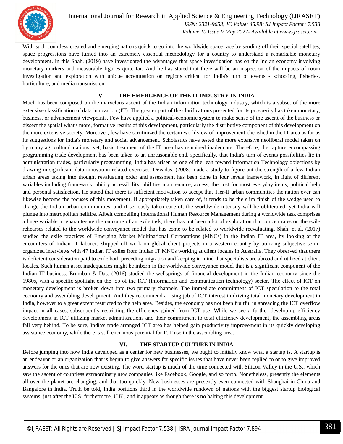

International Journal for Research in Applied Science & Engineering Technology (IJRASET**)**  *ISSN: 2321-9653; IC Value: 45.98; SJ Impact Factor: 7.538*

 *Volume 10 Issue V May 2022- Available at www.ijraset.com*

With such countless created and emerging nations quick to go into the worldwide space race by sending off their special satellites, space progressions have turned into an extremely essential methodology for a country to understand a remarkable monetary development. In this Shah. (2019) have investigated the advantages that space investigation has on the Indian economy involving monetary markers and measurable figures quite far. And he has stated that there will be an inspection of the impacts of room investigation and exploration with unique accentuation on regions critical for India's turn of events - schooling, fisheries, horticulture, and media transmission.

#### **V. THE EMERGENCE OF THE IT INDUSTRY IN INDIA**

Much has been composed on the marvelous ascent of the Indian information technology industry, which is a subset of the more extensive classification of data innovation (IT). The greater part of the clarifications presented for its prosperity has taken monetary, business, or advancement viewpoints. Few have applied a political-economic system to make sense of the ascent of the business or dissect the spatial what's more, formative results of this development, particularly the distributive component of this development on the more extensive society. Moreover, few have scrutinized the certain worldview of improvement cherished in the IT area as far as its suggestions for India's monetary and social advancement. Scholastics have tested the more extensive neoliberal model taken on by many agricultural nations, yet, basic treatment of the IT area has remained inadequate. Therefore, the rapture encompassing programming trade development has been taken to an unreasonable end, specifically, that India's turn of events possibilities lie in administration trades, particularly programming. India has arisen as one of the lean toward Information Technology objections by drawing in significant data innovation-related exercises. Devadas. (2008) made a study to figure out the strength of a few Indian urban areas taking into thought revaluating order and assessment has been done in four levels framework, in light of different variables including framework, ability accessibility, abilities maintenance, access, the cost for most everyday items, political help and personal satisfaction. He stated that there is sufficient motivation to accept that Tier-II urban communities the nation over can likewise become the focuses of this movement. If appropriately taken care of, it tends to be the slim finish of the wedge used to change the Indian urban communities, and if seriously taken care of, the worldwide intensity will be obliterated, yet India will plunge into metropolitan hellfire. Albeit compelling International Human Resource Management during a worldwide task comprises a huge variable in guaranteeing the outcome of an exile task, there has not been a lot of exploration that concentrates on the exile rehearses related to the worldwide conveyance model that has come to be related to worldwide reevaluating. Shah, et al. (2017) studied the exile practices of Emerging Market Multinational Corporations (MNCs) in the Indian IT area, by looking at the encounters of Indian IT laborers shipped off work on global client projects in a western country by utilizing subjective semiorganized interviews with 47 Indian IT exiles from Indian IT MNCs working at client locales in Australia. They observed that there is deficient consideration paid to exile both preceding migration and keeping in mind that specialists are abroad and utilized at client locales. Such human asset inadequacies might be inborn in the worldwide conveyance model that is a significant component of the Indian IT business. Erumban & Das. (2016) studied the wellsprings of financial development in the Indian economy since the 1980s, with a specific spotlight on the job of the ICT (Information and communication technology) sector. The effect of ICT on monetary development is broken down into two primary channels. The immediate commitment of ICT speculation to the total economy and assembling development. And they recommend a rising job of ICT interest in driving total monetary development in India, however to a great extent restricted to the help area. Besides, the economy has not been fruitful in spreading the ICT overflow impact in all cases, subsequently restricting the efficiency gained from ICT use. While we see a further developing efficiency development in ICT utilizing market administrations and their commitment to total efficiency development, the assembling areas fall very behind. To be sure, India's trade arranged ICT area has helped gain productivity improvement in its quickly developing assistance economy, while there is still enormous potential for ICT use in the assembling area.

#### **VI. THE STARTUP CULTURE IN INDIA**

Before jumping into how India developed as a center for new businesses, we ought to initially know what a startup is. A startup is an endeavor or an organization that is begun to give answers for specific issues that have never been replied to or to give improved answers for the ones that are now existing. The word startup is much of the time connected with Silicon Valley in the U.S., which saw the ascent of countless extraordinary new companies like Facebook, Google, and so forth. Nonetheless, presently the elements all over the planet are changing, and that too quickly. New businesses are presently even connected with Shanghai in China and Bangalore in India. Truth be told, India positions third in the worldwide rundown of nations with the biggest startup biological systems, just after the U.S. furthermore, U.K., and it appears as though there is no halting this development.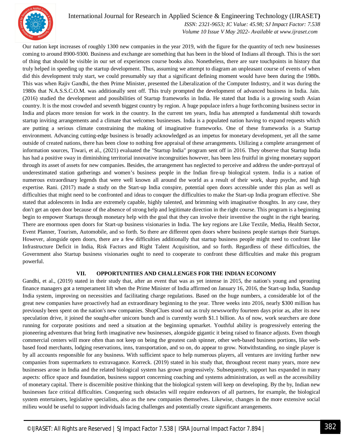

 *ISSN: 2321-9653; IC Value: 45.98; SJ Impact Factor: 7.538 Volume 10 Issue V May 2022- Available at www.ijraset.com*

Our nation kept increases of roughly 1300 new companies in the year 2019, with the figure for the quantity of tech new businesses coming to around 8900-9300. Business and exchange are something that has been in the blood of Indians all through. This is the sort of thing that should be visible in our set of experiences course books also. Nonetheless, there are sure touchpoints in history that truly helped in speeding up the startup development. Thus, assuming we attempt to diagram an unpleasant course of events of when did this development truly start, we could presumably say that a significant defining moment would have been during the 1980s. This was when Rajiv Gandhi, the then Prime Minister, presented the Liberalization of the Computer Industry, and it was during the 1980s that N.A.S.S.C.O.M. was additionally sent off. This truly prompted the development of advanced business in India. Jain. (2016) studied the development and possibilities of Startup frameworks in India. He stated that India is a growing south Asian country. It is the most crowded and seventh biggest country by region. A huge populace infers a huge forthcoming business sector in India and places more tension for work in the country. In the current ten years, India has attempted a fundamental shift towards startup inviting arrangements and a climate that welcomes businesses. India is a populated nation having to expand requests which are putting a serious climate constraining the making of imaginative frameworks. One of these frameworks is a Startup environment. Advancing cutting-edge business is broadly acknowledged as an impetus for monetary development, yet all the same outside of created nations, there has been close to nothing free appraisal of these arrangements. Utilizing a complete arrangement of information sources, Tiwari, et al., (2021) evaluated the "Startup India" program sent off in 2016. They observe that Startup India has had a positive sway in diminishing territorial innovative incongruities however, has been less fruitful in giving monetary support through its asset of assets for new companies. Besides, the arrangement has neglected to perceive and address the under-portrayal of underestimated station gatherings and women's business people in the Indian fire-up biological system. India is a nation of numerous extraordinary legends that were well known all around the world as a result of their work, sharp psyche, and high expertise. Rani. (2017) made a study on the Start-up India conspire, potential open doors accessible under this plan as well as difficulties that might need to be confronted and ideas to conquer the difficulties to make the Start-up India program effective. She stated that adolescents in India are extremely capable, highly talented, and brimming with imaginative thoughts. In any case, they don't get an open door because of the absence of strong help and legitimate direction in the right course. This program is a beginning begin to empower Startups through monetary help with the goal that they can involve their inventive the ought in the right bearing. There are enormous open doors for Start-up business visionaries in India. The key regions are Like Textile, Media, Health Sector, Event Planner, Tourism, Automobile, and so forth. So there are different open doors where business people startups their Startups. However, alongside open doors, there are a few difficulties additionally that startup business people might need to confront like Infrastructure Deficit in India, Risk Factors and Right Talent Acquisition, and so forth. Regardless of these difficulties, the Government also Startup business visionaries ought to need to cooperate to confront these difficulties and make this program powerful.

#### **VII. OPPORTUNITIES AND CHALLENGES FOR THE INDIAN ECONOMY**

Gandhi, et al., (2019) stated in their study that, after an event that was as yet intense in 2015, the nation's young and sprouting finance managers got a temperament lift when the Prime Minister of India affirmed on January 16, 2016, the Start-up India, Standup India system, improving on necessities and facilitating charge regulations. Based on the huge numbers, a considerable lot of the great new companies have proactively had an extraordinary beginning to the year. Three weeks into 2016, nearly \$300 million has previously been spent on the nation's new companies. ShopClues stood out as truly newsworthy fourteen days prior as, after its new speculation drive, it joined the sought-after unicorn bunch and is currently worth \$1.1 billion. As of now, work searchers are done running for corporate positions and need a situation at the beginning upmarket. Youthful ability is progressively entering the pioneering adventures that bring forth imaginative new businesses, alongside gigantic it being raised to finance adjusts. Even though commercial centers will more often than not keep on being the greatest cash spinner, other web-based business portions, like webbased food merchants, lodging reservations, inns, transportation, and so on, do appear to grow. Notwithstanding, no single player is by all accounts responsible for any business. With sufficient space to help numerous players, all ventures are inviting further new companies from supermarkets to extravagance. Korreck. (2019) stated in his study that, throughout recent many years, more new businesses arose in India and the related biological system has grown progressively. Subsequently, support has expanded in many aspects: office space and foundation, business support concerning coaching and systems administration, as well as the accessibility of monetary capital. There is discernible positive thinking that the biological system will keep on developing. By the by, Indian new businesses face critical difficulties. Conquering such obstacles will require endeavors of all partners, for example, the biological system entertainers, legislative specialists, also as the new companies themselves. Likewise, changes in the more extensive social milieu would be useful to support individuals facing challenges and potentially create significant arrangements.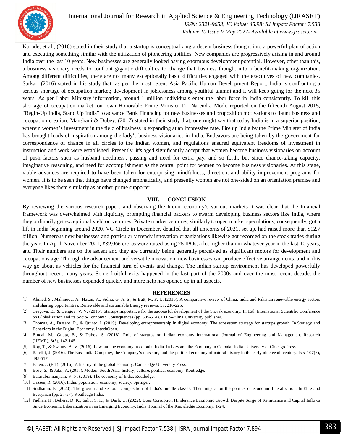

 *ISSN: 2321-9653; IC Value: 45.98; SJ Impact Factor: 7.538 Volume 10 Issue V May 2022- Available at www.ijraset.com*

Kurode, et al., (2016) stated in their study that a startup is conceptualizing a decent business thought into a powerful plan of action and executing something similar with the utilization of pioneering abilities. New companies are progressively arising in and around India over the last 10 years. New businesses are generally looked having enormous development potential. However, other than this, a business visionary needs to confront gigantic difficulties to change that business thought into a benefit-making organization. Among different difficulties, there are not many exceptionally basic difficulties engaged with the executives of new companies. Sarkar. (2016) stated in his study that, as per the most recent Asia Pacific Human Development Report, India is confronting a serious shortage of occupation market; development in joblessness among youthful alumni and it will keep going for the next 35 years. As per Labor Ministry information, around 1 million individuals enter the labor force in India consistently. To kill this shortage of occupation market, our own Honorable Prime Minister Dr. Narendra Modi, reported on the fifteenth August 2015, "Begin-Up India, Stand Up India" to advance Bank Financing for new businesses and proposition motivations to flaunt business and occupation creation. Manshani & Dubey. (2017) stated in their study that, one might say that today India is in a superior position, wherein women's investment in the field of business is expanding at an impressive rate. Fire up India by the Prime Minister of India has brought loads of inspiration among the lady's business visionaries in India. Endeavors are being taken by the government for correspondence of chance in all circles to the Indian women, and regulations ensured equivalent freedoms of investment in instruction and work were established. Presently, it's aged significantly accept that women become business visionaries on account of push factors such as husband neediness', passing and need for extra pay, and so forth, but since chance-taking capacity, imaginative reasoning, and need for accomplishment as the central point for women to become business visionaries. At this stage, viable advances are required to have been taken for enterprising mindfulness, direction, and ability improvement programs for women. It is to be seen that things have changed emphatically, and presently women are not one-sided on an orientation premise and everyone likes them similarly as another prime supporter.

#### **VIII. CONCLUSION**

By reviewing the various research papers and observing the Indian economy's various markets it was clear that the financial framework was overwhelmed with liquidity, prompting financial backers to swarm developing business sectors like India, where they ordinarily get exceptional yield on ventures. Private market ventures, similarly to open market speculations, consequently, got a lift in India beginning around 2020. VC Circle in December, detailed that all unicorns of 2021, set up, had raised more than \$12.7 billion. Numerous new businesses and particularly trendy innovation organizations likewise got recorded on the stock trades during the year. In April-November 2021, ₹89,066 crores were raised using 75 IPOs, a lot higher than in whatever year in the last 10 years, and Their numbers are on the ascent and they are currently being generally perceived as significant motors for development and occupations age. Through the advancement and versatile innovation, new businesses can produce effective arrangements, and in this way go about as vehicles for the financial turn of events and change. The Indian startup environment has developed powerfully throughout recent many years. Some fruitful exits happened in the last part of the 2000s and over the most recent decade, the number of new businesses expanded quickly and more help has opened up in all aspects.

#### **REFERENCES**

- [1] Ahmed, S., Mahmood, A., Hasan, A., Sidhu, G. A. S., & Butt, M. F. U. (2016). A comparative review of China, India and Pakistan renewable energy sectors and sharing opportunities. Renewable and sustainable Energy reviews, 57, 216-225.
- [2] Gregova, E., & Dengov, V. V. (2016). Startups importance for the successful development of the Slovak economy. In 16th International Scientific Conference on Globalization and its Socio-Economic Consequences (pp. 505-514). EDIS-Zilina University publisher.
- [3] Thomas, A., Passaro, R., & Quinto, I. (2019). Developing entrepreneurship in digital economy: The ecosystem strategy for startups growth. In Strategy and Behaviors in the Digital Economy. IntechOpen.
- [4] Bindal, M., Gupta, B., & Dubey, S. (2018). Role of startups on Indian economy. International Journal of Engineering and Management Research (IJEMR), 8(5), 142-145.
- [5] Roy, T., & Swamy, A. V. (2016). Law and the economy in colonial India. In Law and the Economy in Colonial India. University of Chicago Press.
- [6] Ratcliff, J. (2016). The East India Company, the Company's museum, and the political economy of natural history in the early nineteenth century. Isis, 107(3), 495-517.
- [7] Baten, J. (Ed.). (2016). A history of the global economy. Cambridge University Press.
- [8] Bose, S., & Jalal, A. (2017). Modern South Asia: history, culture, political economy. Routledge.
- [9] Balasubramanyam, V. N. (2019). The economy of India. Routledge.
- [10] Cassen, R. (2016). India: population, economy, society. Springer.
- [11] Sridharan, E. (2020). The growth and sectoral composition of India's middle classes: Their impact on the politics of economic liberalization. In Elite and Everyman (pp. 27-57). Routledge India.
- [12] Padhan, H., Behera, D. K., Sahu, S. K., & Dash, U. (2022). Does Corruption Hinderance Economic Growth Despite Surge of Remittance and Capital Inflows Since Economic Liberalization in an Emerging Economy, India. Journal of the Knowledge Economy, 1-24.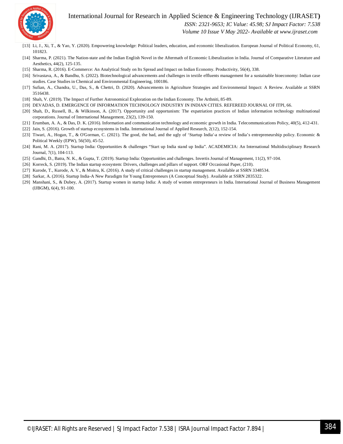

 *ISSN: 2321-9653; IC Value: 45.98; SJ Impact Factor: 7.538*

 *Volume 10 Issue V May 2022- Available at www.ijraset.com*

- [13] Li, J., Xi, T., & Yao, Y. (2020). Empowering knowledge: Political leaders, education, and economic liberalization. European Journal of Political Economy, 61, 101823.
- [14] Sharma, P. (2021). The Nation-state and the Indian English Novel in the Aftermath of Economic Liberalization in India. Journal of Comparative Literature and Aesthetics, 44(2), 125-135.
- [15] Sharma, R. (2016). E-Commerce: An Analytical Study on Its Spread and Impact on Indian Economy. Productivity, 56(4), 338.
- [16] Srivastava, A., & Bandhu, S. (2022). Biotechnological advancements and challenges in textile effluents management for a sustainable bioeconomy: Indian case studies. Case Studies in Chemical and Environmental Engineering, 100186.
- [17] Sufian, A., Chandra, U., Das, S., & Chettri, D. (2020). Advancements in Agriculture Strategies and Environmental Impact: A Review. Available at SSRN 3516438.
- [18] Shah, V. (2019). The Impact of Further Astronomical Exploration on the Indian Economy. The Arthniti, 85-89.
- [19] DEVADAS, D. EMERGENCE OF INFORMATION TECHNOLOGY INDUSTRY IN INDIAN CITIES. REFEREED JOURNAL OF ITPI, 66.
- [20] Shah, D., Russell, B., & Wilkinson, A. (2017). Opportunity and opportunism: The expatriation practices of Indian information technology multinational corporations. Journal of International Management, 23(2), 139-150.
- [21] Erumban, A. A., & Das, D. K. (2016). Information and communication technology and economic growth in India. Telecommunications Policy, 40(5), 412-431.
- [22] Jain, S. (2016). Growth of startup ecosystems in India. International Journal of Applied Research, 2(12), 152-154.
- [23] Tiwari, A., Hogan, T., & O'Gorman, C. (2021). The good, the bad, and the ugly of 'Startup India'a review of India's entrepreneurship policy. Economic & Political Weekly (EPW), 56(50), 45-52.
- [24] Rani, M. A. (2017). Startup India: Opportunities & challenges "Start up India stand up India". ACADEMICIA: An International Multidisciplinary Research Journal, 7(1), 104-113.
- [25] Gandhi, D., Batra, N. K., & Gupta, T. (2019). Startup India: Opportunities and challenges. Invertis Journal of Management, 11(2), 97-104.
- [26] Korreck, S. (2019). The Indian startup ecosystem: Drivers, challenges and pillars of support. ORF Occasional Paper, (210).
- [27] Kurode, T., Kurode, A. V., & Moitra, K. (2016). A study of critical challenges in startup management. Available at SSRN 3348534.
- [28] Sarkar, A. (2016). Startup India-A New Paradigm for Young Entrepreneurs (A Conceptual Study). Available at SSRN 2835322.
- [29] Manshani, S., & Dubey, A. (2017). Startup women in startup India: A study of women entrepreneurs in India. International Journal of Business Management (IJBGM), 6(4), 91-100.